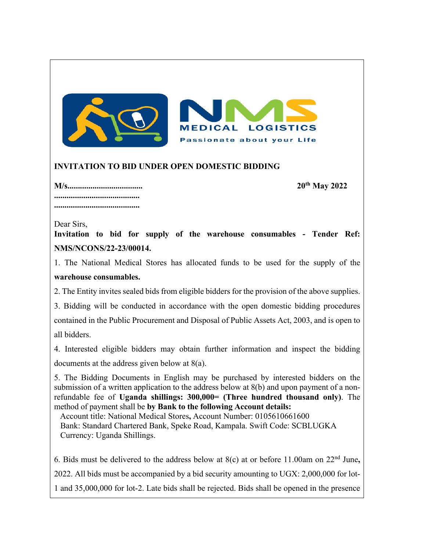

## **INVITATION TO BID UNDER OPEN DOMESTIC BIDDING**

**M/s.................................... 20th May 2022 ......................................... .........................................**

Dear Sirs,

**Invitation to bid for supply of the warehouse consumables - Tender Ref: NMS/NCONS/22-23/00014.**

1. The National Medical Stores has allocated funds to be used for the supply of the **warehouse consumables.**

2. The Entity invites sealed bids from eligible bidders for the provision of the above supplies. 3. Bidding will be conducted in accordance with the open domestic bidding procedures contained in the Public Procurement and Disposal of Public Assets Act, 2003, and is open to all bidders.

4. Interested eligible bidders may obtain further information and inspect the bidding documents at the address given below at 8(a).

5. The Bidding Documents in English may be purchased by interested bidders on the submission of a written application to the address below at 8(b) and upon payment of a nonrefundable fee of **Uganda shillings: 300,000= (Three hundred thousand only)**. The method of payment shall be **by Bank to the following Account details:**

Account title: National Medical Stores**,** Account Number: 0105610661600 Bank: Standard Chartered Bank, Speke Road, Kampala. Swift Code: SCBLUGKA Currency: Uganda Shillings.

6. Bids must be delivered to the address below at 8(c) at or before 11.00am on 22nd June**,** 2022. All bids must be accompanied by a bid security amounting to UGX: 2,000,000 for lot-1 and 35,000,000 for lot-2. Late bids shall be rejected. Bids shall be opened in the presence